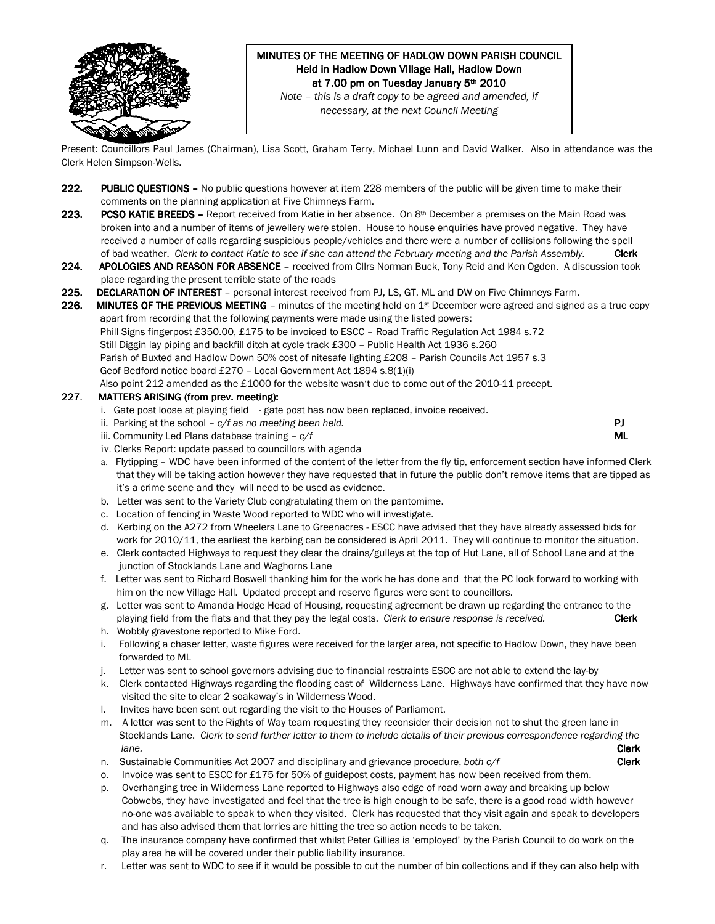

# MINUTES OF THE MEETING OF HADLOW DOWN PARISH COUNCIL Held in Hadlow Down Village Hall, Hadlow Down at 7.00 pm on Tuesday January 5th 2010

Note – this is a draft copy to be agreed and amended, if necessary, at the next Council Meeting

Present: Councillors Paul James (Chairman), Lisa Scott, Graham Terry, Michael Lunn and David Walker. Also in attendance was the Clerk Helen Simpson-Wells.

- 222. PUBLIC QUESTIONS No public questions however at item 228 members of the public will be given time to make their comments on the planning application at Five Chimneys Farm.
- 223. PCSO KATIE BREEDS Report received from Katie in her absence. On 8<sup>th</sup> December a premises on the Main Road was broken into and a number of items of jewellery were stolen. House to house enquiries have proved negative. They have received a number of calls regarding suspicious people/vehicles and there were a number of collisions following the spell of bad weather. Clerk to contact Katie to see if she can attend the February meeting and the Parish Assembly. Clerk
- 224. APOLOGIES AND REASON FOR ABSENCE received from Cllrs Norman Buck, Tony Reid and Ken Ogden. A discussion took place regarding the present terrible state of the roads
- 225. DECLARATION OF INTEREST personal interest received from PJ, LS, GT, ML and DW on Five Chimneys Farm.
- 226. MINUTES OF THE PREVIOUS MEETING minutes of the meeting held on  $1<sup>st</sup>$  December were agreed and signed as a true copy apart from recording that the following payments were made using the listed powers: Phill Signs fingerpost £350.00, £175 to be invoiced to ESCC – Road Traffic Regulation Act 1984 s.72 Still Diggin lay piping and backfill ditch at cycle track £300 – Public Health Act 1936 s.260 Parish of Buxted and Hadlow Down 50% cost of nitesafe lighting £208 – Parish Councils Act 1957 s.3 Geof Bedford notice board £270 – Local Government Act 1894 s.8(1)(i) Also point 212 amended as the £1000 for the website wasn't due to come out of the 2010-11 precept.

#### 227. MATTERS ARISING (from prev. meeting):

- i. Gate post loose at playing field gate post has now been replaced, invoice received.
- ii. Parking at the school  $c/f$  as no meeting been held. **PJ PJ**
- iii. Community Led Plans database training  $-c/f$  ML
- iv. Clerks Report: update passed to councillors with agenda
- a. Flytipping WDC have been informed of the content of the letter from the fly tip, enforcement section have informed Clerk that they will be taking action however they have requested that in future the public don't remove items that are tipped as it's a crime scene and they will need to be used as evidence.
- b. Letter was sent to the Variety Club congratulating them on the pantomime.
- c. Location of fencing in Waste Wood reported to WDC who will investigate.
- d. Kerbing on the A272 from Wheelers Lane to Greenacres ESCC have advised that they have already assessed bids for work for 2010/11, the earliest the kerbing can be considered is April 2011. They will continue to monitor the situation.
- e. Clerk contacted Highways to request they clear the drains/gulleys at the top of Hut Lane, all of School Lane and at the junction of Stocklands Lane and Waghorns Lane
- f. Letter was sent to Richard Boswell thanking him for the work he has done and that the PC look forward to working with him on the new Village Hall. Updated precept and reserve figures were sent to councillors.
- g. Letter was sent to Amanda Hodge Head of Housing, requesting agreement be drawn up regarding the entrance to the playing field from the flats and that they pay the legal costs. Clerk to ensure response is received. Clerk h. Wobbly gravestone reported to Mike Ford.
- i. Following a chaser letter, waste figures were received for the larger area, not specific to Hadlow Down, they have been forwarded to ML
- j. Letter was sent to school governors advising due to financial restraints ESCC are not able to extend the lay-by
- k. Clerk contacted Highways regarding the flooding east of Wilderness Lane. Highways have confirmed that they have now visited the site to clear 2 soakaway's in Wilderness Wood.
- l. Invites have been sent out regarding the visit to the Houses of Parliament.
- m. A letter was sent to the Rights of Way team requesting they reconsider their decision not to shut the green lane in Stocklands Lane. Clerk to send further letter to them to include details of their previous correspondence regarding the lane. **Clerk** and the contract of the contract of the contract of the contract of the contract of the contract of the contract of the contract of the contract of the contract of the contract of the contract of the contract
- n. Sustainable Communities Act 2007 and disciplinary and grievance procedure, both  $c/f$  Clerk
- o. Invoice was sent to ESCC for £175 for 50% of guidepost costs, payment has now been received from them.
- p. Overhanging tree in Wilderness Lane reported to Highways also edge of road worn away and breaking up below Cobwebs, they have investigated and feel that the tree is high enough to be safe, there is a good road width however no-one was available to speak to when they visited. Clerk has requested that they visit again and speak to developers and has also advised them that lorries are hitting the tree so action needs to be taken.
- q. The insurance company have confirmed that whilst Peter Gillies is 'employed' by the Parish Council to do work on the play area he will be covered under their public liability insurance.
- r. Letter was sent to WDC to see if it would be possible to cut the number of bin collections and if they can also help with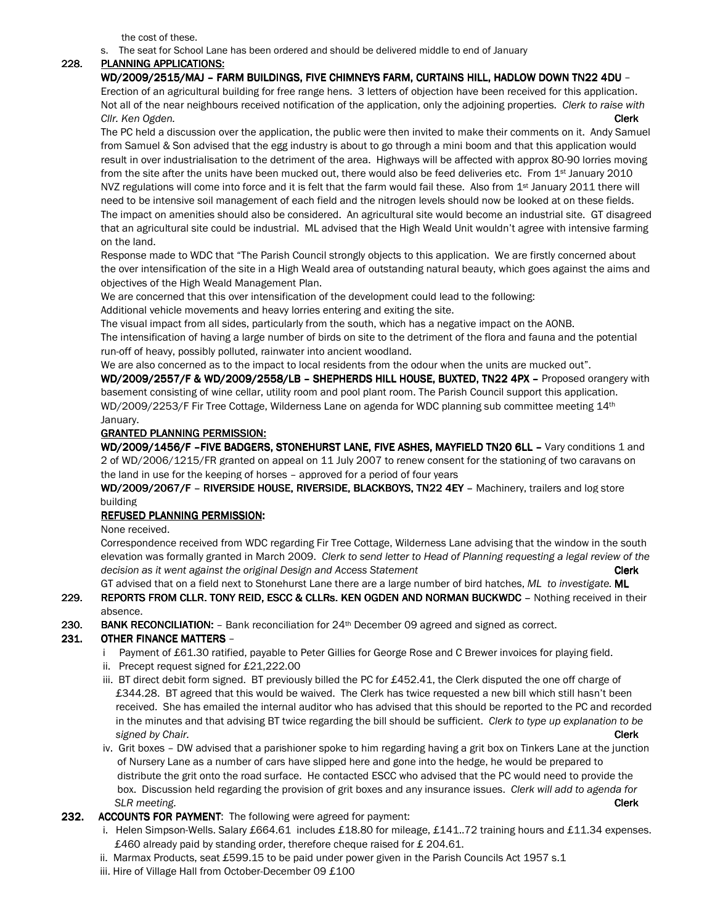the cost of these.

s. The seat for School Lane has been ordered and should be delivered middle to end of January

#### 228. PLANNING APPLICATIONS:

WD/2009/2515/MAJ – FARM BUILDINGS, FIVE CHIMNEYS FARM, CURTAINS HILL, HADLOW DOWN TN22 4DU – Erection of an agricultural building for free range hens. 3 letters of objection have been received for this application. Not all of the near neighbours received notification of the application, only the adjoining properties. Clerk to raise with Clir. Ken Ogden. **Clerk** and the control of the control of the control of the control of the control of the control of the control of the control of the control of the control of the control of the control of the control o

The PC held a discussion over the application, the public were then invited to make their comments on it. Andy Samuel from Samuel & Son advised that the egg industry is about to go through a mini boom and that this application would result in over industrialisation to the detriment of the area. Highways will be affected with approx 80-90 lorries moving from the site after the units have been mucked out, there would also be feed deliveries etc. From 1<sup>st</sup> January 2010 NVZ regulations will come into force and it is felt that the farm would fail these. Also from 1st January 2011 there will need to be intensive soil management of each field and the nitrogen levels should now be looked at on these fields. The impact on amenities should also be considered. An agricultural site would become an industrial site. GT disagreed that an agricultural site could be industrial. ML advised that the High Weald Unit wouldn't agree with intensive farming on the land.

Response made to WDC that "The Parish Council strongly objects to this application. We are firstly concerned about the over intensification of the site in a High Weald area of outstanding natural beauty, which goes against the aims and objectives of the High Weald Management Plan.

We are concerned that this over intensification of the development could lead to the following:

Additional vehicle movements and heavy lorries entering and exiting the site.

The visual impact from all sides, particularly from the south, which has a negative impact on the AONB.

The intensification of having a large number of birds on site to the detriment of the flora and fauna and the potential run-off of heavy, possibly polluted, rainwater into ancient woodland.

We are also concerned as to the impact to local residents from the odour when the units are mucked out". WD/2009/2557/F & WD/2009/2558/LB - SHEPHERDS HILL HOUSE, BUXTED, TN22 4PX - Proposed orangery with basement consisting of wine cellar, utility room and pool plant room. The Parish Council support this application. WD/2009/2253/F Fir Tree Cottage, Wilderness Lane on agenda for WDC planning sub committee meeting 14th January.

### **GRANTED PLANNING PERMISSION:**

WD/2009/1456/F - FIVE BADGERS, STONEHURST LANE, FIVE ASHES, MAYFIELD TN20 6LL - Vary conditions 1 and 2 of WD/2006/1215/FR granted on appeal on 11 July 2007 to renew consent for the stationing of two caravans on the land in use for the keeping of horses – approved for a period of four years

WD/2009/2067/F - RIVERSIDE HOUSE, RIVERSIDE, BLACKBOYS, TN22 4EY - Machinery, trailers and log store building

### REFUSED PLANNING PERMISSION:

None received.

Correspondence received from WDC regarding Fir Tree Cottage, Wilderness Lane advising that the window in the south elevation was formally granted in March 2009. Clerk to send letter to Head of Planning requesting a legal review of the decision as it went against the original Design and Access Statement Clerk Clerk

GT advised that on a field next to Stonehurst Lane there are a large number of bird hatches, ML to investigate. ML 229. REPORTS FROM CLLR. TONY REID, ESCC & CLLRs. KEN OGDEN AND NORMAN BUCKWDC - Nothing received in their absence.

230. BANK RECONCILIATION:  $-$  Bank reconciliation for 24<sup>th</sup> December 09 agreed and signed as correct.

### 231. OTHER FINANCE MATTERS –

- i Payment of £61.30 ratified, payable to Peter Gillies for George Rose and C Brewer invoices for playing field.
- ii. Precept request signed for £21,222.00
- iii. BT direct debit form signed. BT previously billed the PC for £452.41, the Clerk disputed the one off charge of £344.28. BT agreed that this would be waived. The Clerk has twice requested a new bill which still hasn't been received. She has emailed the internal auditor who has advised that this should be reported to the PC and recorded in the minutes and that advising BT twice regarding the bill should be sufficient. Clerk to type up explanation to be signed by Chair. **Clerk**
- iv. Grit boxes DW advised that a parishioner spoke to him regarding having a grit box on Tinkers Lane at the junction of Nursery Lane as a number of cars have slipped here and gone into the hedge, he would be prepared to distribute the grit onto the road surface. He contacted ESCC who advised that the PC would need to provide the box. Discussion held regarding the provision of grit boxes and any insurance issues. Clerk will add to agenda for SLR meeting. **Clerk**

### 232. ACCOUNTS FOR PAYMENT: The following were agreed for payment:

- i. Helen Simpson-Wells. Salary £664.61 includes £18.80 for mileage, £141..72 training hours and £11.34 expenses. £460 already paid by standing order, therefore cheque raised for £204.61.
- ii. Marmax Products, seat £599.15 to be paid under power given in the Parish Councils Act 1957 s.1
- iii. Hire of Village Hall from October-December 09 £100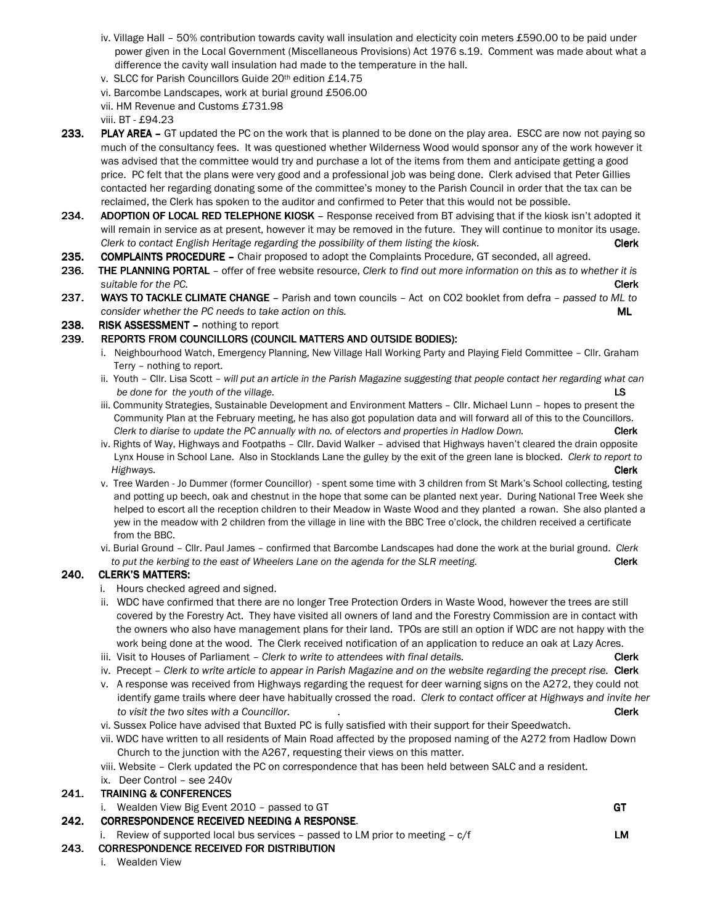- iv. Village Hall 50% contribution towards cavity wall insulation and electicity coin meters £590.00 to be paid under power given in the Local Government (Miscellaneous Provisions) Act 1976 s.19. Comment was made about what a difference the cavity wall insulation had made to the temperature in the hall.
- v. SLCC for Parish Councillors Guide 20th edition £14.75
- vi. Barcombe Landscapes, work at burial ground £506.00
- vii. HM Revenue and Customs £731.98
- viii. BT £94.23
- 233. PLAY AREA GT updated the PC on the work that is planned to be done on the play area. ESCC are now not paying so much of the consultancy fees. It was questioned whether Wilderness Wood would sponsor any of the work however it was advised that the committee would try and purchase a lot of the items from them and anticipate getting a good price. PC felt that the plans were very good and a professional job was being done. Clerk advised that Peter Gillies contacted her regarding donating some of the committee's money to the Parish Council in order that the tax can be reclaimed, the Clerk has spoken to the auditor and confirmed to Peter that this would not be possible.
- 234. ADOPTION OF LOCAL RED TELEPHONE KIOSK Response received from BT advising that if the kiosk isn't adopted it will remain in service as at present, however it may be removed in the future. They will continue to monitor its usage. Clerk to contact English Heritage regarding the possibility of them listing the kiosk. Clerk Clerk
- 235. COMPLAINTS PROCEDURE Chair proposed to adopt the Complaints Procedure, GT seconded, all agreed.
- 236. THE PLANNING PORTAL offer of free website resource, Clerk to find out more information on this as to whether it is suitable for the PC. **Clerk**
- 237. WAYS TO TACKLE CLIMATE CHANGE Parish and town councils Act on CO2 booklet from defra passed to ML to consider whether the PC needs to take action on this.  $ML$

#### 238. RISK ASSESSMENT - nothing to report

#### 239. REPORTS FROM COUNCILLORS (COUNCIL MATTERS AND OUTSIDE BODIES):

- i. Neighbourhood Watch, Emergency Planning, New Village Hall Working Party and Playing Field Committee Cllr. Graham Terry – nothing to report.
- ii. Youth Cllr. Lisa Scott will put an article in the Parish Magazine suggesting that people contact her regarding what can be done for the youth of the village. LS
- iii. Community Strategies, Sustainable Development and Environment Matters Cllr. Michael Lunn hopes to present the Community Plan at the February meeting, he has also got population data and will forward all of this to the Councillors. Clerk to diarise to update the PC annually with no. of electors and properties in Hadlow Down. Clerk
- iv. Rights of Way, Highways and Footpaths Cllr. David Walker advised that Highways haven't cleared the drain opposite Lynx House in School Lane. Also in Stocklands Lane the gulley by the exit of the green lane is blocked. Clerk to report to **Highways.** Clerk the contract of the contract of the contract of the contract of the contract of the contract of the contract of the contract of the contract of the contract of the contract of the contract of the contract
	- v. Tree Warden Jo Dummer (former Councillor) spent some time with 3 children from St Mark's School collecting, testing and potting up beech, oak and chestnut in the hope that some can be planted next year. During National Tree Week she helped to escort all the reception children to their Meadow in Waste Wood and they planted a rowan. She also planted a yew in the meadow with 2 children from the village in line with the BBC Tree o'clock, the children received a certificate from the BBC.
	- vi. Burial Ground Cllr. Paul James confirmed that Barcombe Landscapes had done the work at the burial ground. Clerk to put the kerbing to the east of Wheelers Lane on the agenda for the SLR meeting. Clerk Clerk

### 240. CLERK'S MATTERS:

- i. Hours checked agreed and signed.
- ii. WDC have confirmed that there are no longer Tree Protection Orders in Waste Wood, however the trees are still covered by the Forestry Act. They have visited all owners of land and the Forestry Commission are in contact with the owners who also have management plans for their land. TPOs are still an option if WDC are not happy with the work being done at the wood. The Clerk received notification of an application to reduce an oak at Lazy Acres.
- iii. Visit to Houses of Parliament Clerk to write to attendees with final details.
- iv. Precept Clerk to write article to appear in Parish Magazine and on the website regarding the precept rise. Clerk
- v. A response was received from Highways regarding the request for deer warning signs on the A272, they could not identify game trails where deer have habitually crossed the road. Clerk to contact officer at Highways and invite her to visit the two sites with a Councillor. The contraction of the contraction of the clerk clerk clerk
- vi. Sussex Police have advised that Buxted PC is fully satisfied with their support for their Speedwatch.
- vii. WDC have written to all residents of Main Road affected by the proposed naming of the A272 from Hadlow Down Church to the junction with the A267, requesting their views on this matter.
- viii. Website Clerk updated the PC on correspondence that has been held between SALC and a resident.
- ix. Deer Control see 240v

### 241. TRAINING & CONFERENCES

i. Wealden View Big Event 2010 – passed to GT GT

### 242. CORRESPONDENCE RECEIVED NEEDING A RESPONSE.

i. Review of supported local bus services – passed to LM prior to meeting –  $c/f$  LM

### 243. CORRESPONDENCE RECEIVED FOR DISTRIBUTION 243. CORRESPONDENCE RECEIVED FOR DISTRIBUTION CORRESPONDENCE DISTRIBUTION

i. Wealden View